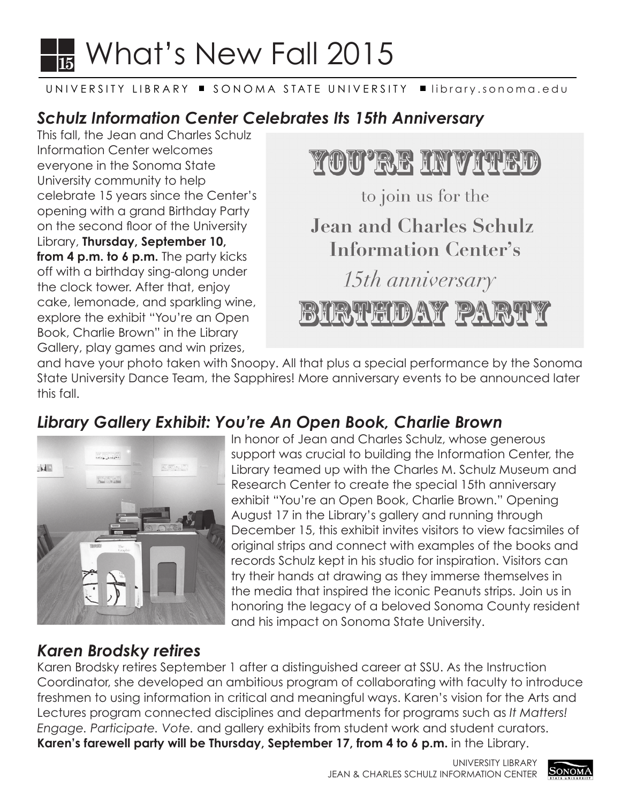## $\frac{1}{15}$  What's New Fall 2015  $\blacksquare$  15

#### UNIVERSITY LIBRARY ■ SONOMA STATE UNIVERSITY ■ [library.sonoma.edu](https://library.sonoma.edu)

## *Schulz Information Center Celebrates Its 15th Anniversary*

This fall, the Jean and Charles Schulz Information Center welcomes everyone in the Sonoma State University community to help celebrate 15 years since the Center's opening with a grand Birthday Party on the second floor of the University Library, **Thursday, September 10, from 4 p.m. to 6 p.m.** The party kicks off with a birthday sing-along under the clock tower. After that, enjoy cake, lemonade, and sparkling wine, explore the exhibit "You're an Open Book, Charlie Brown" in the Library Gallery, play games and win prizes,



and have your photo taken with Snoopy. All that plus a special performance by the Sonoma State University Dance Team, the Sapphires! More anniversary events to be announced later this fall.

## *Library Gallery Exhibit: You're An Open Book, Charlie Brown*



In honor of Jean and Charles Schulz, whose generous support was crucial to building the Information Center, the Library teamed up with the Charles M. Schulz Museum and Research Center to create the special 15th anniversary exhibit "You're an Open Book, Charlie Brown." Opening August 17 in the Library's gallery and running through December 15, this exhibit invites visitors to view facsimiles of original strips and connect with examples of the books and records Schulz kept in his studio for inspiration. Visitors can try their hands at drawing as they immerse themselves in the media that inspired the iconic Peanuts strips. Join us in honoring the legacy of a beloved Sonoma County resident and his impact on Sonoma State University.

#### *Karen Brodsky retires*

Karen Brodsky retires September 1 after a distinguished career at SSU. As the Instruction Coordinator, she developed an ambitious program of collaborating with faculty to introduce freshmen to using information in critical and meaningful ways. Karen's vision for the Arts and Lectures program connected disciplines and departments for programs such as *It Matters! Engage. Participate. Vote.* and gallery exhibits from student work and student curators. **Karen's farewell party will be Thursday, September 17, from 4 to 6 p.m.** in the Library.